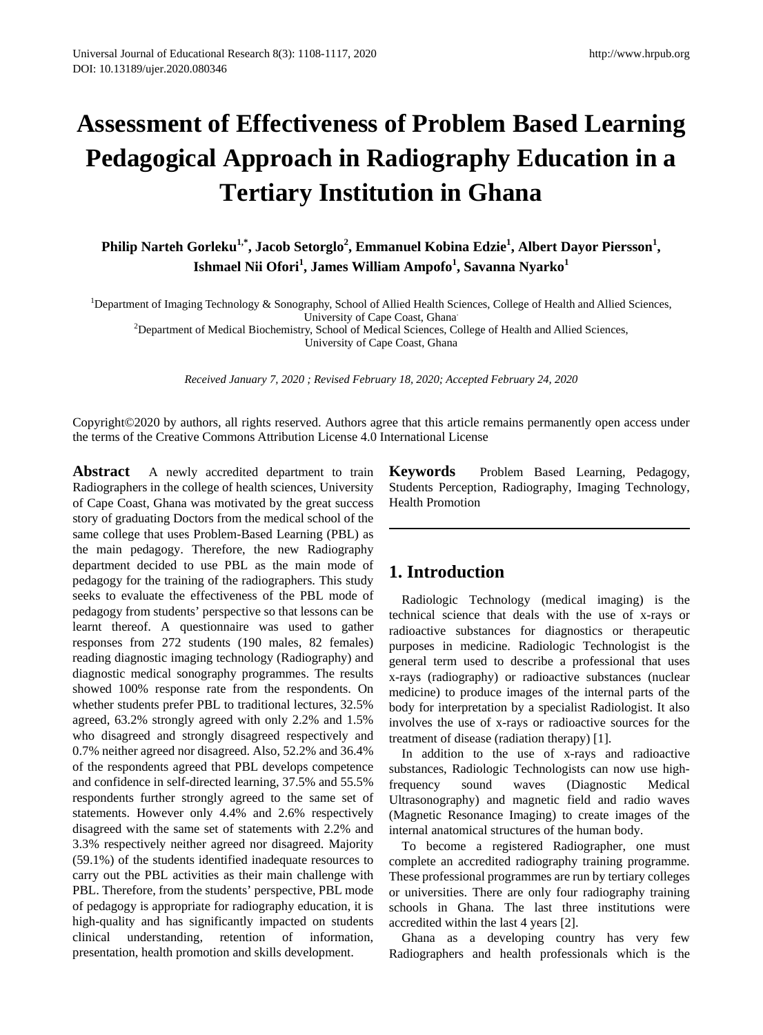# **Assessment of Effectiveness of Problem Based Learning Pedagogical Approach in Radiography Education in a Tertiary Institution in Ghana**

Philip Narteh Gorleku<sup>1,\*</sup>, Jacob Setorglo<sup>2</sup>, Emmanuel Kobina Edzie<sup>1</sup>, Albert Dayor Piersson<sup>1</sup>, **Ishmael Nii Ofori<sup>1</sup> , James William Ampofo<sup>1</sup> , Savanna Nyarko<sup>1</sup>**

<sup>1</sup>Department of Imaging Technology & Sonography, School of Allied Health Sciences, College of Health and Allied Sciences,

University of Cape Coast, Ghana.

<sup>2</sup>Department of Medical Biochemistry, School of Medical Sciences, College of Health and Allied Sciences, University of Cape Coast, Ghana

*Received January 7, 2020 ; Revised February 18, 2020; Accepted February 24, 2020*

Copyright©2020 by authors, all rights reserved. Authors agree that this article remains permanently open access under the terms of the Creative Commons Attribution License 4.0 International License

**Abstract** A newly accredited department to train Radiographers in the college of health sciences, University of Cape Coast, Ghana was motivated by the great success story of graduating Doctors from the medical school of the same college that uses Problem-Based Learning (PBL) as the main pedagogy. Therefore, the new Radiography department decided to use PBL as the main mode of pedagogy for the training of the radiographers. This study seeks to evaluate the effectiveness of the PBL mode of pedagogy from students' perspective so that lessons can be learnt thereof. A questionnaire was used to gather responses from 272 students (190 males, 82 females) reading diagnostic imaging technology (Radiography) and diagnostic medical sonography programmes. The results showed 100% response rate from the respondents. On whether students prefer PBL to traditional lectures, 32.5% agreed, 63.2% strongly agreed with only 2.2% and 1.5% who disagreed and strongly disagreed respectively and 0.7% neither agreed nor disagreed. Also, 52.2% and 36.4% of the respondents agreed that PBL develops competence and confidence in self-directed learning, 37.5% and 55.5% respondents further strongly agreed to the same set of statements. However only 4.4% and 2.6% respectively disagreed with the same set of statements with 2.2% and 3.3% respectively neither agreed nor disagreed. Majority (59.1%) of the students identified inadequate resources to carry out the PBL activities as their main challenge with PBL. Therefore, from the students' perspective, PBL mode of pedagogy is appropriate for radiography education, it is high-quality and has significantly impacted on students clinical understanding, retention of information, presentation, health promotion and skills development.

**Keywords** Problem Based Learning, Pedagogy, Students Perception, Radiography, Imaging Technology, Health Promotion

# **1. Introduction**

Radiologic Technology (medical imaging) is the technical science that deals with the use of x-rays or radioactive substances for diagnostics or therapeutic purposes in medicine. Radiologic Technologist is the general term used to describe a professional that uses x-rays (radiography) or radioactive substances (nuclear medicine) to produce images of the internal parts of the body for interpretation by a specialist Radiologist. It also involves the use of x-rays or radioactive sources for the treatment of disease (radiation therapy) [1].

In addition to the use of x-rays and radioactive substances, Radiologic Technologists can now use highfrequency sound waves (Diagnostic Medical Ultrasonography) and magnetic field and radio waves (Magnetic Resonance Imaging) to create images of the internal anatomical structures of the human body.

To become a registered Radiographer, one must complete an accredited radiography training programme. These professional programmes are run by tertiary colleges or universities. There are only four radiography training schools in Ghana. The last three institutions were accredited within the last 4 years [2].

Ghana as a developing country has very few Radiographers and health professionals which is the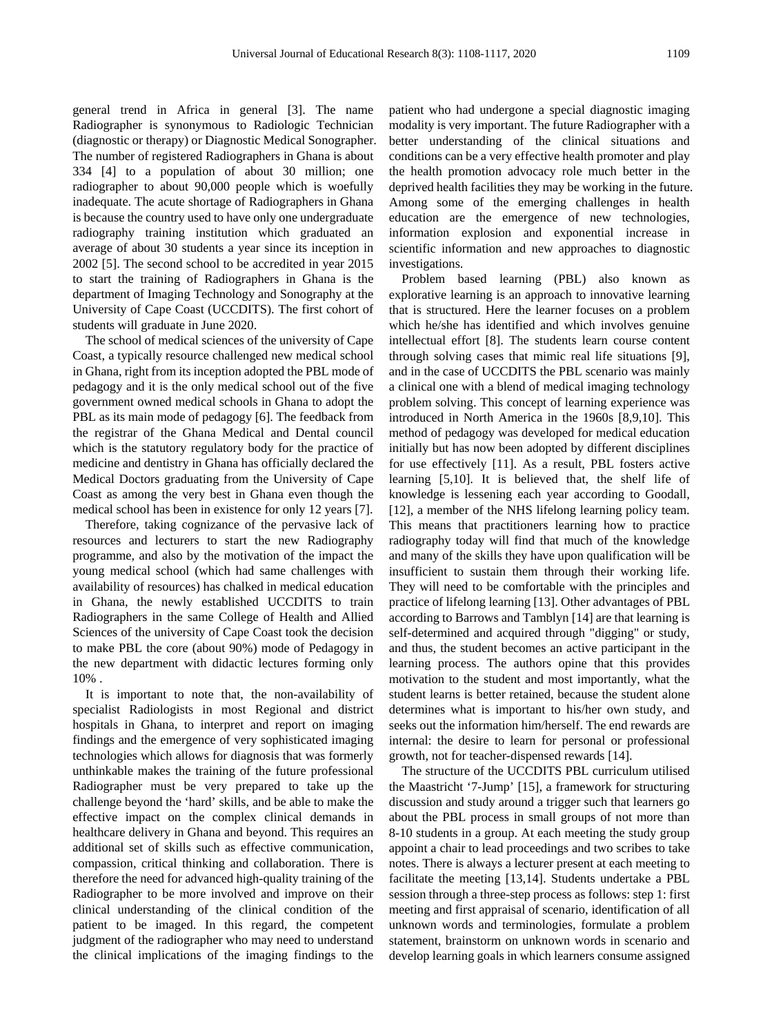general trend in Africa in general [3]. The name Radiographer is synonymous to Radiologic Technician (diagnostic or therapy) or Diagnostic Medical Sonographer. The number of registered Radiographers in Ghana is about 334 [4] to a population of about 30 million; one radiographer to about 90,000 people which is woefully inadequate. The acute shortage of Radiographers in Ghana is because the country used to have only one undergraduate radiography training institution which graduated an average of about 30 students a year since its inception in 2002 [5]. The second school to be accredited in year 2015 to start the training of Radiographers in Ghana is the department of Imaging Technology and Sonography at the University of Cape Coast (UCCDITS). The first cohort of students will graduate in June 2020.

The school of medical sciences of the university of Cape Coast, a typically resource challenged new medical school in Ghana, right from its inception adopted the PBL mode of pedagogy and it is the only medical school out of the five government owned medical schools in Ghana to adopt the PBL as its main mode of pedagogy [6]. The feedback from the registrar of the Ghana Medical and Dental council which is the statutory regulatory body for the practice of medicine and dentistry in Ghana has officially declared the Medical Doctors graduating from the University of Cape Coast as among the very best in Ghana even though the medical school has been in existence for only 12 years [7].

Therefore, taking cognizance of the pervasive lack of resources and lecturers to start the new Radiography programme, and also by the motivation of the impact the young medical school (which had same challenges with availability of resources) has chalked in medical education in Ghana, the newly established UCCDITS to train Radiographers in the same College of Health and Allied Sciences of the university of Cape Coast took the decision to make PBL the core (about 90%) mode of Pedagogy in the new department with didactic lectures forming only 10% .

It is important to note that, the non-availability of specialist Radiologists in most Regional and district hospitals in Ghana, to interpret and report on imaging findings and the emergence of very sophisticated imaging technologies which allows for diagnosis that was formerly unthinkable makes the training of the future professional Radiographer must be very prepared to take up the challenge beyond the 'hard' skills, and be able to make the effective impact on the complex clinical demands in healthcare delivery in Ghana and beyond. This requires an additional set of skills such as effective communication, compassion, critical thinking and collaboration. There is therefore the need for advanced high-quality training of the Radiographer to be more involved and improve on their clinical understanding of the clinical condition of the patient to be imaged. In this regard, the competent judgment of the radiographer who may need to understand the clinical implications of the imaging findings to the

patient who had undergone a special diagnostic imaging modality is very important. The future Radiographer with a better understanding of the clinical situations and conditions can be a very effective health promoter and play the health promotion advocacy role much better in the deprived health facilities they may be working in the future. Among some of the emerging challenges in health education are the emergence of new technologies, information explosion and exponential increase in scientific information and new approaches to diagnostic investigations.

Problem based learning (PBL) also known as explorative learning is an approach to innovative learning that is structured. Here the learner focuses on a problem which he/she has identified and which involves genuine intellectual effort [8]. The students learn course content through solving cases that mimic real life situations [9], and in the case of UCCDITS the PBL scenario was mainly a clinical one with a blend of medical imaging technology problem solving. This concept of learning experience was introduced in North America in the 1960s [8,9,10]. This method of pedagogy was developed for medical education initially but has now been adopted by different disciplines for use effectively [11]. As a result, PBL fosters active learning [5,10]. It is believed that, the shelf life of knowledge is lessening each year according to Goodall, [12], a member of the NHS lifelong learning policy team. This means that practitioners learning how to practice radiography today will find that much of the knowledge and many of the skills they have upon qualification will be insufficient to sustain them through their working life. They will need to be comfortable with the principles and practice of lifelong learning [13]. Other advantages of PBL according to Barrows and Tamblyn [14] are that learning is self-determined and acquired through "digging" or study, and thus, the student becomes an active participant in the learning process. The authors opine that this provides motivation to the student and most importantly, what the student learns is better retained, because the student alone determines what is important to his/her own study, and seeks out the information him/herself. The end rewards are internal: the desire to learn for personal or professional growth, not for teacher-dispensed rewards [14].

The structure of the UCCDITS PBL curriculum utilised the Maastricht '7-Jump' [15], a framework for structuring discussion and study around a trigger such that learners go about the PBL process in small groups of not more than 8-10 students in a group. At each meeting the study group appoint a chair to lead proceedings and two scribes to take notes. There is always a lecturer present at each meeting to facilitate the meeting [13,14]. Students undertake a PBL session through a three-step process as follows: step 1: first meeting and first appraisal of scenario, identification of all unknown words and terminologies, formulate a problem statement, brainstorm on unknown words in scenario and develop learning goals in which learners consume assigned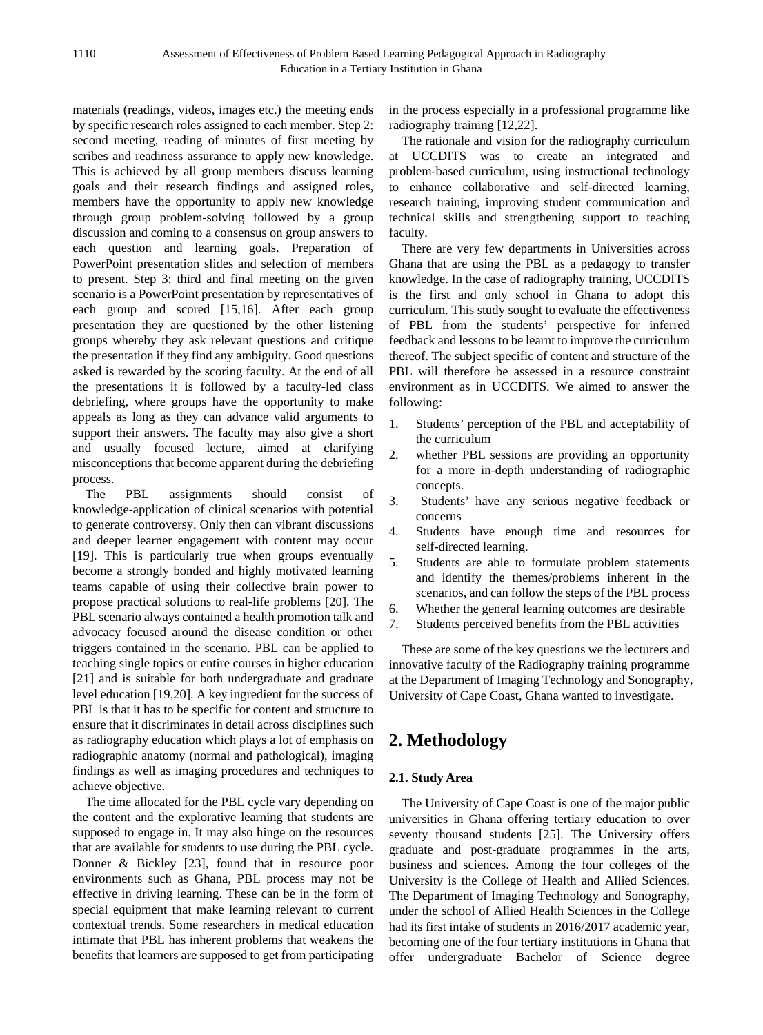materials (readings, videos, images etc.) the meeting ends by specific research roles assigned to each member. Step 2: second meeting, reading of minutes of first meeting by scribes and readiness assurance to apply new knowledge. This is achieved by all group members discuss learning goals and their research findings and assigned roles, members have the opportunity to apply new knowledge through group problem-solving followed by a group discussion and coming to a consensus on group answers to each question and learning goals. Preparation of PowerPoint presentation slides and selection of members to present. Step 3: third and final meeting on the given scenario is a PowerPoint presentation by representatives of each group and scored [15,16]. After each group presentation they are questioned by the other listening groups whereby they ask relevant questions and critique the presentation if they find any ambiguity. Good questions asked is rewarded by the scoring faculty. At the end of all the presentations it is followed by a faculty-led class debriefing, where groups have the opportunity to make appeals as long as they can advance valid arguments to support their answers. The faculty may also give a short and usually focused lecture, aimed at clarifying misconceptions that become apparent during the debriefing process.

The PBL assignments should consist of knowledge-application of clinical scenarios with potential to generate controversy. Only then can vibrant discussions and deeper learner engagement with content may occur [19]. This is particularly true when groups eventually become a strongly bonded and highly motivated learning teams capable of using their collective brain power to propose practical solutions to real-life problems [20]. The PBL scenario always contained a health promotion talk and advocacy focused around the disease condition or other triggers contained in the scenario. PBL can be applied to teaching single topics or entire courses in higher education [21] and is suitable for both undergraduate and graduate level education [19,20]. A key ingredient for the success of PBL is that it has to be specific for content and structure to ensure that it discriminates in detail across disciplines such as radiography education which plays a lot of emphasis on radiographic anatomy (normal and pathological), imaging findings as well as imaging procedures and techniques to achieve objective.

The time allocated for the PBL cycle vary depending on the content and the explorative learning that students are supposed to engage in. It may also hinge on the resources that are available for students to use during the PBL cycle. Donner & Bickley [23], found that in resource poor environments such as Ghana, PBL process may not be effective in driving learning. These can be in the form of special equipment that make learning relevant to current contextual trends. Some researchers in medical education intimate that PBL has inherent problems that weakens the benefits that learners are supposed to get from participating

in the process especially in a professional programme like radiography training [12,22].

The rationale and vision for the radiography curriculum at UCCDITS was to create an integrated and problem-based curriculum, using instructional technology to enhance collaborative and self-directed learning, research training, improving student communication and technical skills and strengthening support to teaching faculty.

There are very few departments in Universities across Ghana that are using the PBL as a pedagogy to transfer knowledge. In the case of radiography training, UCCDITS is the first and only school in Ghana to adopt this curriculum. This study sought to evaluate the effectiveness of PBL from the students' perspective for inferred feedback and lessons to be learnt to improve the curriculum thereof. The subject specific of content and structure of the PBL will therefore be assessed in a resource constraint environment as in UCCDITS. We aimed to answer the following:

- 1. Students' perception of the PBL and acceptability of the curriculum
- 2. whether PBL sessions are providing an opportunity for a more in-depth understanding of radiographic concepts.
- 3. Students' have any serious negative feedback or concerns
- 4. Students have enough time and resources for self-directed learning.
- 5. Students are able to formulate problem statements and identify the themes/problems inherent in the scenarios, and can follow the steps of the PBL process
- 6. Whether the general learning outcomes are desirable
- 7. Students perceived benefits from the PBL activities

These are some of the key questions we the lecturers and innovative faculty of the Radiography training programme at the Department of Imaging Technology and Sonography, University of Cape Coast, Ghana wanted to investigate.

# **2. Methodology**

#### **2.1. Study Area**

The University of Cape Coast is one of the major public universities in Ghana offering tertiary education to over seventy thousand students [25]. The University offers graduate and post-graduate programmes in the arts, business and sciences. Among the four colleges of the University is the College of Health and Allied Sciences. The Department of Imaging Technology and Sonography, under the school of Allied Health Sciences in the College had its first intake of students in 2016/2017 academic year, becoming one of the four tertiary institutions in Ghana that offer undergraduate Bachelor of Science degree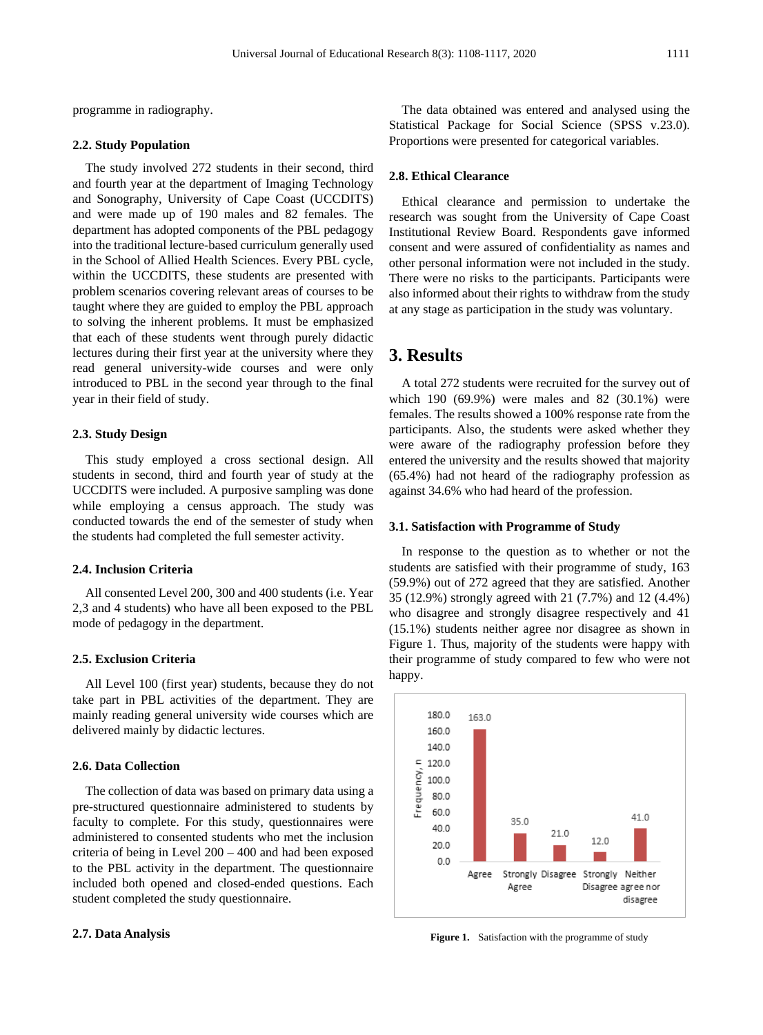programme in radiography.

#### **2.2. Study Population**

The study involved 272 students in their second, third and fourth year at the department of Imaging Technology and Sonography, University of Cape Coast (UCCDITS) and were made up of 190 males and 82 females. The department has adopted components of the PBL pedagogy into the traditional lecture-based curriculum generally used in the School of Allied Health Sciences. Every PBL cycle, within the UCCDITS, these students are presented with problem scenarios covering relevant areas of courses to be taught where they are guided to employ the PBL approach to solving the inherent problems. It must be emphasized that each of these students went through purely didactic lectures during their first year at the university where they read general university-wide courses and were only introduced to PBL in the second year through to the final year in their field of study.

#### **2.3. Study Design**

This study employed a cross sectional design. All students in second, third and fourth year of study at the UCCDITS were included. A purposive sampling was done while employing a census approach. The study was conducted towards the end of the semester of study when the students had completed the full semester activity.

#### **2.4. Inclusion Criteria**

All consented Level 200, 300 and 400 students (i.e. Year 2,3 and 4 students) who have all been exposed to the PBL mode of pedagogy in the department.

#### **2.5. Exclusion Criteria**

All Level 100 (first year) students, because they do not take part in PBL activities of the department. They are mainly reading general university wide courses which are delivered mainly by didactic lectures.

#### **2.6. Data Collection**

The collection of data was based on primary data using a pre-structured questionnaire administered to students by faculty to complete. For this study, questionnaires were administered to consented students who met the inclusion criteria of being in Level 200 – 400 and had been exposed to the PBL activity in the department. The questionnaire included both opened and closed-ended questions. Each student completed the study questionnaire.

#### **2.7. Data Analysis**

The data obtained was entered and analysed using the Statistical Package for Social Science (SPSS v.23.0). Proportions were presented for categorical variables.

#### **2.8. Ethical Clearance**

Ethical clearance and permission to undertake the research was sought from the University of Cape Coast Institutional Review Board. Respondents gave informed consent and were assured of confidentiality as names and other personal information were not included in the study. There were no risks to the participants. Participants were also informed about their rights to withdraw from the study at any stage as participation in the study was voluntary.

# **3. Results**

A total 272 students were recruited for the survey out of which 190 (69.9%) were males and 82 (30.1%) were females. The results showed a 100% response rate from the participants. Also, the students were asked whether they were aware of the radiography profession before they entered the university and the results showed that majority (65.4%) had not heard of the radiography profession as against 34.6% who had heard of the profession.

#### **3.1. Satisfaction with Programme of Study**

In response to the question as to whether or not the students are satisfied with their programme of study, 163 (59.9%) out of 272 agreed that they are satisfied. Another 35 (12.9%) strongly agreed with 21 (7.7%) and 12 (4.4%) who disagree and strongly disagree respectively and 41 (15.1%) students neither agree nor disagree as shown in Figure 1. Thus, majority of the students were happy with their programme of study compared to few who were not happy.



Figure 1. Satisfaction with the programme of study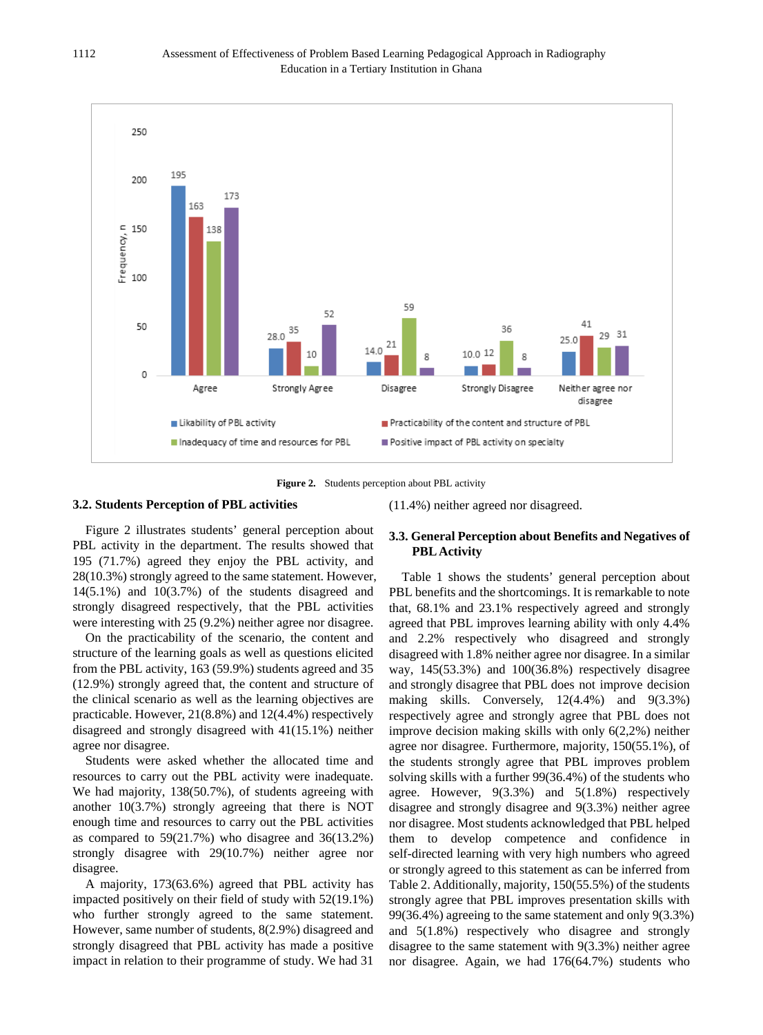



#### **3.2. Students Perception of PBL activities**

Figure 2 illustrates students' general perception about PBL activity in the department. The results showed that 195 (71.7%) agreed they enjoy the PBL activity, and 28(10.3%) strongly agreed to the same statement. However, 14(5.1%) and 10(3.7%) of the students disagreed and strongly disagreed respectively, that the PBL activities were interesting with 25 (9.2%) neither agree nor disagree.

On the practicability of the scenario, the content and structure of the learning goals as well as questions elicited from the PBL activity, 163 (59.9%) students agreed and 35 (12.9%) strongly agreed that, the content and structure of the clinical scenario as well as the learning objectives are practicable. However, 21(8.8%) and 12(4.4%) respectively disagreed and strongly disagreed with 41(15.1%) neither agree nor disagree.

Students were asked whether the allocated time and resources to carry out the PBL activity were inadequate. We had majority, 138(50.7%), of students agreeing with another 10(3.7%) strongly agreeing that there is NOT enough time and resources to carry out the PBL activities as compared to 59(21.7%) who disagree and 36(13.2%) strongly disagree with 29(10.7%) neither agree nor disagree.

A majority, 173(63.6%) agreed that PBL activity has impacted positively on their field of study with 52(19.1%) who further strongly agreed to the same statement. However, same number of students, 8(2.9%) disagreed and strongly disagreed that PBL activity has made a positive impact in relation to their programme of study. We had 31

### **3.3. General Perception about Benefits and Negatives of PBL Activity**

(11.4%) neither agreed nor disagreed.

Table 1 shows the students' general perception about PBL benefits and the shortcomings. It is remarkable to note that, 68.1% and 23.1% respectively agreed and strongly agreed that PBL improves learning ability with only 4.4% and 2.2% respectively who disagreed and strongly disagreed with 1.8% neither agree nor disagree. In a similar way, 145(53.3%) and 100(36.8%) respectively disagree and strongly disagree that PBL does not improve decision making skills. Conversely, 12(4.4%) and 9(3.3%) respectively agree and strongly agree that PBL does not improve decision making skills with only 6(2,2%) neither agree nor disagree. Furthermore, majority, 150(55.1%), of the students strongly agree that PBL improves problem solving skills with a further 99(36.4%) of the students who agree. However, 9(3.3%) and 5(1.8%) respectively disagree and strongly disagree and 9(3.3%) neither agree nor disagree. Most students acknowledged that PBL helped them to develop competence and confidence in self-directed learning with very high numbers who agreed or strongly agreed to this statement as can be inferred from Table 2. Additionally, majority, 150(55.5%) of the students strongly agree that PBL improves presentation skills with 99(36.4%) agreeing to the same statement and only 9(3.3%) and 5(1.8%) respectively who disagree and strongly disagree to the same statement with 9(3.3%) neither agree nor disagree. Again, we had 176(64.7%) students who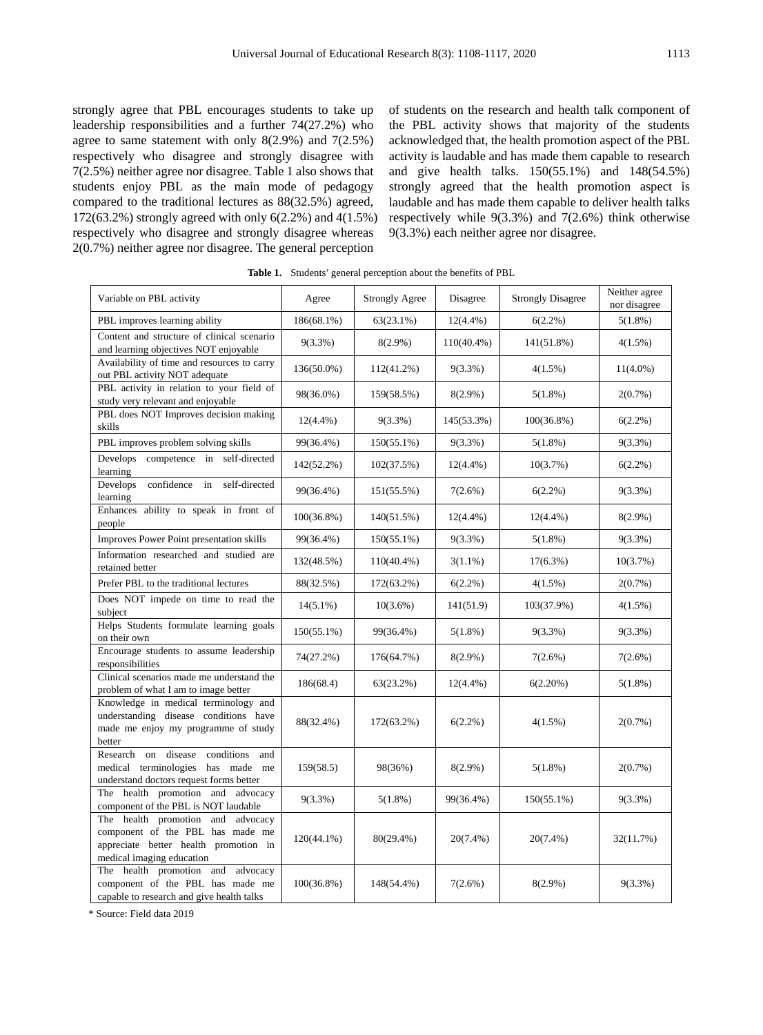strongly agree that PBL encourages students to take up leadership responsibilities and a further 74(27.2%) who agree to same statement with only  $8(2.9\%)$  and  $7(2.5\%)$ respectively who disagree and strongly disagree with 7(2.5%) neither agree nor disagree. Table 1 also shows that students enjoy PBL as the main mode of pedagogy compared to the traditional lectures as 88(32.5%) agreed, 172(63.2%) strongly agreed with only 6(2.2%) and 4(1.5%) respectively who disagree and strongly disagree whereas 2(0.7%) neither agree nor disagree. The general perception

of students on the research and health talk component of the PBL activity shows that majority of the students acknowledged that, the health promotion aspect of the PBL activity is laudable and has made them capable to research and give health talks. 150(55.1%) and 148(54.5%) strongly agreed that the health promotion aspect is laudable and has made them capable to deliver health talks respectively while 9(3.3%) and 7(2.6%) think otherwise 9(3.3%) each neither agree nor disagree.

| Variable on PBL activity                                                                                                                    | Agree         | <b>Strongly Agree</b> | Disagree      | <b>Strongly Disagree</b> | Neither agree<br>nor disagree |
|---------------------------------------------------------------------------------------------------------------------------------------------|---------------|-----------------------|---------------|--------------------------|-------------------------------|
| PBL improves learning ability                                                                                                               | 186(68.1%)    | 63(23.1%)             | $12(4.4\%)$   | $6(2.2\%)$               | $5(1.8\%)$                    |
| Content and structure of clinical scenario<br>and learning objectives NOT enjoyable                                                         | $9(3.3\%)$    | $8(2.9\%)$            | $110(40.4\%)$ | $141(51.8\%)$            | $4(1.5\%)$                    |
| Availability of time and resources to carry<br>out PBL activity NOT adequate                                                                | 136(50.0%)    | $112(41.2\%)$         | $9(3.3\%)$    | $4(1.5\%)$               | $11(4.0\%)$                   |
| PBL activity in relation to your field of<br>study very relevant and enjoyable                                                              | 98(36.0%)     | 159(58.5%)            | $8(2.9\%)$    | $5(1.8\%)$               | $2(0.7\%)$                    |
| PBL does NOT Improves decision making<br>skills                                                                                             | $12(4.4\%)$   | $9(3.3\%)$            | 145(53.3%)    | $100(36.8\%)$            | $6(2.2\%)$                    |
| PBL improves problem solving skills                                                                                                         | 99(36.4%)     | $150(55.1\%)$         | 9(3.3%)       | $5(1.8\%)$               | $9(3.3\%)$                    |
| Develops competence in self-directed<br>learning                                                                                            | 142(52.2%)    | 102(37.5%)            | $12(4.4\%)$   | 10(3.7%)                 | $6(2.2\%)$                    |
| confidence<br>self-directed<br>Develops<br>in<br>learning                                                                                   | 99(36.4%)     | 151(55.5%)            | 7(2.6%)       | $6(2.2\%)$               | $9(3.3\%)$                    |
| Enhances ability to speak in front of<br>people                                                                                             | 100(36.8%)    | 140(51.5%)            | $12(4.4\%)$   | $12(4.4\%)$              | $8(2.9\%)$                    |
| Improves Power Point presentation skills                                                                                                    | 99(36.4%)     | $150(55.1\%)$         | $9(3.3\%)$    | $5(1.8\%)$               | $9(3.3\%)$                    |
| Information researched and studied are<br>retained better                                                                                   | 132(48.5%)    | $110(40.4\%)$         | $3(1.1\%)$    | $17(6.3\%)$              | 10(3.7%)                      |
| Prefer PBL to the traditional lectures                                                                                                      | 88(32.5%)     | 172(63.2%)            | $6(2.2\%)$    | 4(1.5%)                  | 2(0.7%)                       |
| Does NOT impede on time to read the<br>subject                                                                                              | $14(5.1\%)$   | $10(3.6\%)$           | 141(51.9)     | 103(37.9%)               | 4(1.5%)                       |
| Helps Students formulate learning goals<br>on their own                                                                                     | $150(55.1\%)$ | 99(36.4%)             | $5(1.8\%)$    | $9(3.3\%)$               | $9(3.3\%)$                    |
| Encourage students to assume leadership<br>responsibilities                                                                                 | 74(27.2%)     | 176(64.7%)            | $8(2.9\%)$    | 7(2.6%)                  | 7(2.6%)                       |
| Clinical scenarios made me understand the<br>problem of what I am to image better                                                           | 186(68.4)     | 63(23.2%)             | $12(4.4\%)$   | 6(2.20%)                 | $5(1.8\%)$                    |
| Knowledge in medical terminology and<br>understanding disease conditions have<br>made me enjoy my programme of study<br>better              | 88(32.4%)     | 172(63.2%)            | $6(2.2\%)$    | $4(1.5\%)$               | $2(0.7\%)$                    |
| Research on disease<br>conditions<br>and<br>medical terminologies has made me<br>understand doctors request forms better                    | 159(58.5)     | 98(36%)               | $8(2.9\%)$    | $5(1.8\%)$               | $2(0.7\%)$                    |
| The health promotion and advocacy<br>component of the PBL is NOT laudable                                                                   | $9(3.3\%)$    | 5(1.8%)               | 99(36.4%)     | $150(55.1\%)$            | $9(3.3\%)$                    |
| The health promotion and advocacy<br>component of the PBL has made me<br>appreciate better health promotion in<br>medical imaging education | $120(44.1\%)$ | 80(29.4%)             | $20(7.4\%)$   | 20(7.4%)                 | 32(11.7%)                     |
| The health promotion and advocacy<br>component of the PBL has made me<br>capable to research and give health talks                          | $100(36.8\%)$ | 148(54.4%)            | 7(2.6%)       | $8(2.9\%)$               | $9(3.3\%)$                    |

\* Source: Field data 2019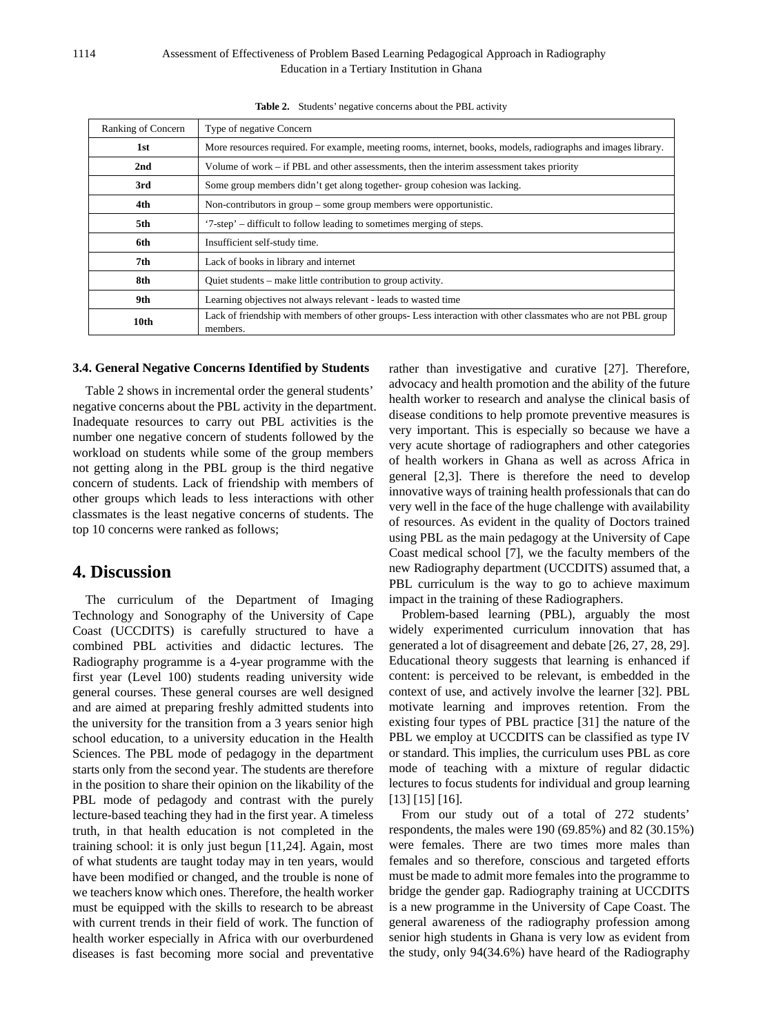| Ranking of Concern | Type of negative Concern                                                                                                 |  |  |
|--------------------|--------------------------------------------------------------------------------------------------------------------------|--|--|
| 1st                | More resources required. For example, meeting rooms, internet, books, models, radiographs and images library.            |  |  |
| 2nd                | Volume of work – if PBL and other assessments, then the interim assessment takes priority                                |  |  |
| 3rd                | Some group members didn't get along together-group cohesion was lacking.                                                 |  |  |
| 4th                | Non-contributors in group – some group members were opportunistic.                                                       |  |  |
| 5th                | '7-step' – difficult to follow leading to sometimes merging of steps.                                                    |  |  |
| 6th                | Insufficient self-study time.                                                                                            |  |  |
| 7th                | Lack of books in library and internet                                                                                    |  |  |
| 8th                | Quiet students – make little contribution to group activity.                                                             |  |  |
| 9th                | Learning objectives not always relevant - leads to wasted time                                                           |  |  |
| 10th               | Lack of friendship with members of other groups-Less interaction with other classmates who are not PBL group<br>members. |  |  |

**Table 2.** Students' negative concerns about the PBL activity

#### **3.4. General Negative Concerns Identified by Students**

Table 2 shows in incremental order the general students' negative concerns about the PBL activity in the department. Inadequate resources to carry out PBL activities is the number one negative concern of students followed by the workload on students while some of the group members not getting along in the PBL group is the third negative concern of students. Lack of friendship with members of other groups which leads to less interactions with other classmates is the least negative concerns of students. The top 10 concerns were ranked as follows;

### **4. Discussion**

The curriculum of the Department of Imaging Technology and Sonography of the University of Cape Coast (UCCDITS) is carefully structured to have a combined PBL activities and didactic lectures. The Radiography programme is a 4-year programme with the first year (Level 100) students reading university wide general courses. These general courses are well designed and are aimed at preparing freshly admitted students into the university for the transition from a 3 years senior high school education, to a university education in the Health Sciences. The PBL mode of pedagogy in the department starts only from the second year. The students are therefore in the position to share their opinion on the likability of the PBL mode of pedagody and contrast with the purely lecture-based teaching they had in the first year. A timeless truth, in that health education is not completed in the training school: it is only just begun [11,24]. Again, most of what students are taught today may in ten years, would have been modified or changed, and the trouble is none of we teachers know which ones. Therefore, the health worker must be equipped with the skills to research to be abreast with current trends in their field of work. The function of health worker especially in Africa with our overburdened diseases is fast becoming more social and preventative

rather than investigative and curative [27]. Therefore, advocacy and health promotion and the ability of the future health worker to research and analyse the clinical basis of disease conditions to help promote preventive measures is very important. This is especially so because we have a very acute shortage of radiographers and other categories of health workers in Ghana as well as across Africa in general [2,3]. There is therefore the need to develop innovative ways of training health professionals that can do very well in the face of the huge challenge with availability of resources. As evident in the quality of Doctors trained using PBL as the main pedagogy at the University of Cape Coast medical school [7], we the faculty members of the new Radiography department (UCCDITS) assumed that, a PBL curriculum is the way to go to achieve maximum impact in the training of these Radiographers.

Problem-based learning (PBL), arguably the most widely experimented curriculum innovation that has generated a lot of disagreement and debate [26, 27, 28, 29]. Educational theory suggests that learning is enhanced if content: is perceived to be relevant, is embedded in the context of use, and actively involve the learner [32]. PBL motivate learning and improves retention. From the existing four types of PBL practice [31] the nature of the PBL we employ at UCCDITS can be classified as type IV or standard. This implies, the curriculum uses PBL as core mode of teaching with a mixture of regular didactic lectures to focus students for individual and group learning [13] [15] [16].

From our study out of a total of 272 students' respondents, the males were 190 (69.85%) and 82 (30.15%) were females. There are two times more males than females and so therefore, conscious and targeted efforts must be made to admit more females into the programme to bridge the gender gap. Radiography training at UCCDITS is a new programme in the University of Cape Coast. The general awareness of the radiography profession among senior high students in Ghana is very low as evident from the study, only 94(34.6%) have heard of the Radiography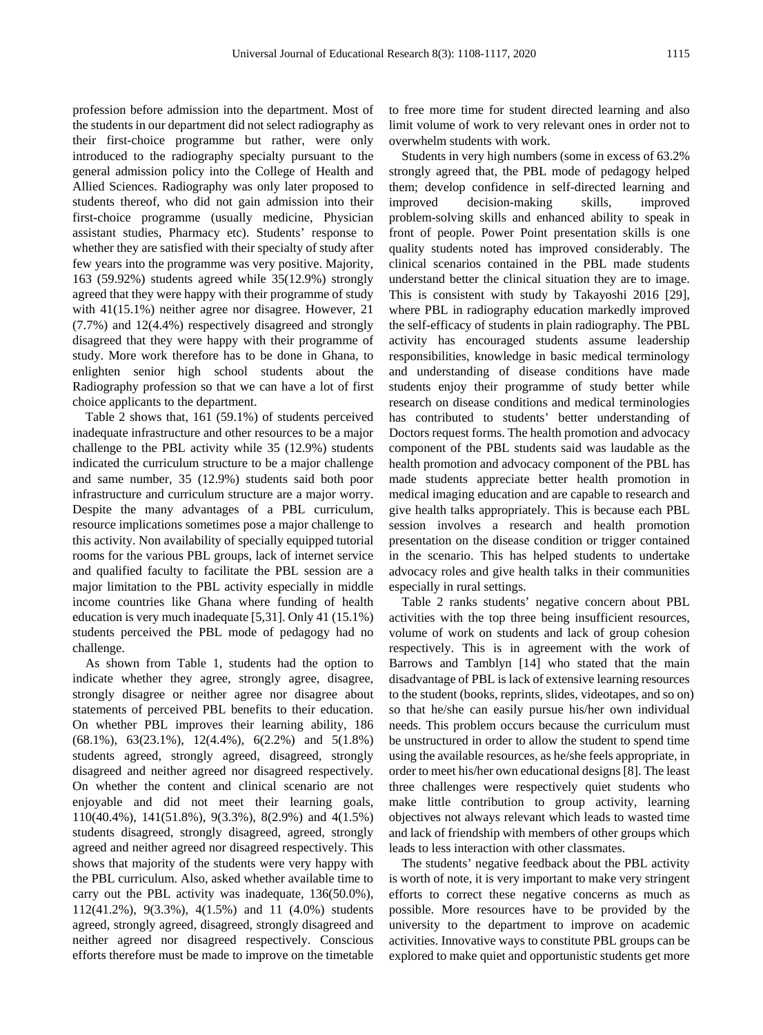profession before admission into the department. Most of the students in our department did not select radiography as their first-choice programme but rather, were only introduced to the radiography specialty pursuant to the general admission policy into the College of Health and Allied Sciences. Radiography was only later proposed to students thereof, who did not gain admission into their first-choice programme (usually medicine, Physician assistant studies, Pharmacy etc). Students' response to whether they are satisfied with their specialty of study after few years into the programme was very positive. Majority, 163 (59.92%) students agreed while 35(12.9%) strongly agreed that they were happy with their programme of study with 41(15.1%) neither agree nor disagree. However, 21 (7.7%) and 12(4.4%) respectively disagreed and strongly disagreed that they were happy with their programme of study. More work therefore has to be done in Ghana, to enlighten senior high school students about the Radiography profession so that we can have a lot of first choice applicants to the department.

Table 2 shows that, 161 (59.1%) of students perceived inadequate infrastructure and other resources to be a major challenge to the PBL activity while 35 (12.9%) students indicated the curriculum structure to be a major challenge and same number, 35 (12.9%) students said both poor infrastructure and curriculum structure are a major worry. Despite the many advantages of a PBL curriculum, resource implications sometimes pose a major challenge to this activity. Non availability of specially equipped tutorial rooms for the various PBL groups, lack of internet service and qualified faculty to facilitate the PBL session are a major limitation to the PBL activity especially in middle income countries like Ghana where funding of health education is very much inadequate [5,31]. Only 41 (15.1%) students perceived the PBL mode of pedagogy had no challenge.

As shown from Table 1, students had the option to indicate whether they agree, strongly agree, disagree, strongly disagree or neither agree nor disagree about statements of perceived PBL benefits to their education. On whether PBL improves their learning ability, 186 (68.1%), 63(23.1%), 12(4.4%), 6(2.2%) and 5(1.8%) students agreed, strongly agreed, disagreed, strongly disagreed and neither agreed nor disagreed respectively. On whether the content and clinical scenario are not enjoyable and did not meet their learning goals, 110(40.4%), 141(51.8%), 9(3.3%), 8(2.9%) and 4(1.5%) students disagreed, strongly disagreed, agreed, strongly agreed and neither agreed nor disagreed respectively. This shows that majority of the students were very happy with the PBL curriculum. Also, asked whether available time to carry out the PBL activity was inadequate, 136(50.0%), 112(41.2%), 9(3.3%), 4(1.5%) and 11 (4.0%) students agreed, strongly agreed, disagreed, strongly disagreed and neither agreed nor disagreed respectively. Conscious efforts therefore must be made to improve on the timetable to free more time for student directed learning and also limit volume of work to very relevant ones in order not to overwhelm students with work.

Students in very high numbers (some in excess of 63.2% strongly agreed that, the PBL mode of pedagogy helped them; develop confidence in self-directed learning and improved decision-making skills, improved problem-solving skills and enhanced ability to speak in front of people. Power Point presentation skills is one quality students noted has improved considerably. The clinical scenarios contained in the PBL made students understand better the clinical situation they are to image. This is consistent with study by Takayoshi 2016 [29], where PBL in radiography education markedly improved the self-efficacy of students in plain radiography. The PBL activity has encouraged students assume leadership responsibilities, knowledge in basic medical terminology and understanding of disease conditions have made students enjoy their programme of study better while research on disease conditions and medical terminologies has contributed to students' better understanding of Doctors request forms. The health promotion and advocacy component of the PBL students said was laudable as the health promotion and advocacy component of the PBL has made students appreciate better health promotion in medical imaging education and are capable to research and give health talks appropriately. This is because each PBL session involves a research and health promotion presentation on the disease condition or trigger contained in the scenario. This has helped students to undertake advocacy roles and give health talks in their communities especially in rural settings.

Table 2 ranks students' negative concern about PBL activities with the top three being insufficient resources, volume of work on students and lack of group cohesion respectively. This is in agreement with the work of Barrows and Tamblyn [14] who stated that the main disadvantage of PBL is lack of extensive learning resources to the student (books, reprints, slides, videotapes, and so on) so that he/she can easily pursue his/her own individual needs. This problem occurs because the curriculum must be unstructured in order to allow the student to spend time using the available resources, as he/she feels appropriate, in order to meet his/her own educational designs [8]. The least three challenges were respectively quiet students who make little contribution to group activity, learning objectives not always relevant which leads to wasted time and lack of friendship with members of other groups which leads to less interaction with other classmates.

The students' negative feedback about the PBL activity is worth of note, it is very important to make very stringent efforts to correct these negative concerns as much as possible. More resources have to be provided by the university to the department to improve on academic activities. Innovative ways to constitute PBL groups can be explored to make quiet and opportunistic students get more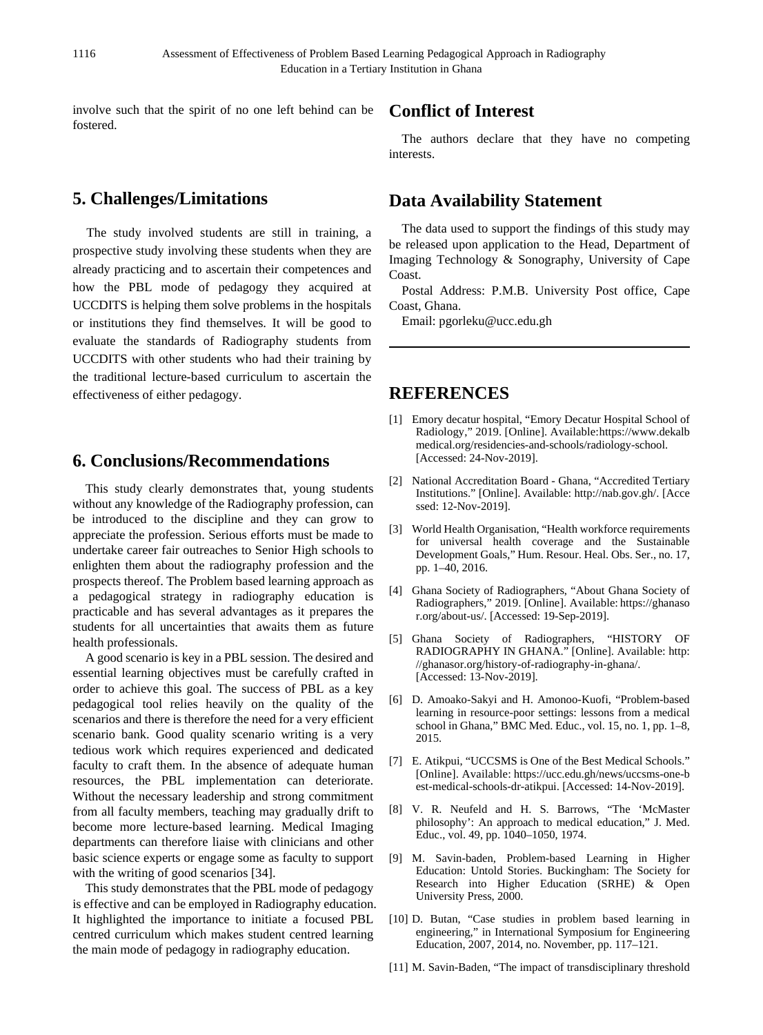involve such that the spirit of no one left behind can be fostered.

# **5. Challenges/Limitations**

 The study involved students are still in training, a prospective study involving these students when they are already practicing and to ascertain their competences and how the PBL mode of pedagogy they acquired at UCCDITS is helping them solve problems in the hospitals or institutions they find themselves. It will be good to evaluate the standards of Radiography students from UCCDITS with other students who had their training by the traditional lecture-based curriculum to ascertain the effectiveness of either pedagogy.

### **6. Conclusions/Recommendations**

This study clearly demonstrates that, young students without any knowledge of the Radiography profession, can be introduced to the discipline and they can grow to appreciate the profession. Serious efforts must be made to undertake career fair outreaches to Senior High schools to enlighten them about the radiography profession and the prospects thereof. The Problem based learning approach as a pedagogical strategy in radiography education is practicable and has several advantages as it prepares the students for all uncertainties that awaits them as future health professionals.

A good scenario is key in a PBL session. The desired and essential learning objectives must be carefully crafted in order to achieve this goal. The success of PBL as a key pedagogical tool relies heavily on the quality of the scenarios and there is therefore the need for a very efficient scenario bank. Good quality scenario writing is a very tedious work which requires experienced and dedicated faculty to craft them. In the absence of adequate human resources, the PBL implementation can deteriorate. Without the necessary leadership and strong commitment from all faculty members, teaching may gradually drift to become more lecture-based learning. Medical Imaging departments can therefore liaise with clinicians and other basic science experts or engage some as faculty to support with the writing of good scenarios [34].

This study demonstrates that the PBL mode of pedagogy is effective and can be employed in Radiography education. It highlighted the importance to initiate a focused PBL centred curriculum which makes student centred learning the main mode of pedagogy in radiography education.

# **Conflict of Interest**

The authors declare that they have no competing interests.

# **Data Availability Statement**

The data used to support the findings of this study may be released upon application to the Head, Department of Imaging Technology & Sonography, University of Cape Coast.

Postal Address: P.M.B. University Post office, Cape Coast, Ghana.

Email: pgorleku@ucc.edu.gh

# **REFERENCES**

- [1] Emory decatur hospital, "Emory Decatur Hospital School of Radiology," 2019. [Online]. Available:https://www.dekalb medical.org/residencies-and-schools/radiology-school. [Accessed: 24-Nov-2019].
- [2] National Accreditation Board Ghana, "Accredited Tertiary Institutions." [Online]. Available: http://nab.gov.gh/. [Acce ssed: 12-Nov-2019].
- [3] World Health Organisation, "Health workforce requirements for universal health coverage and the Sustainable Development Goals," Hum. Resour. Heal. Obs. Ser., no. 17, pp. 1–40, 2016.
- [4] Ghana Society of Radiographers, "About Ghana Society of Radiographers," 2019. [Online]. Available: https://ghanaso r.org/about-us/. [Accessed: 19-Sep-2019].
- [5] Ghana Society of Radiographers, "HISTORY OF RADIOGRAPHY IN GHANA." [Online]. Available: http: //ghanasor.org/history-of-radiography-in-ghana/. [Accessed: 13-Nov-2019].
- [6] D. Amoako-Sakyi and H. Amonoo-Kuofi, "Problem-based learning in resource-poor settings: lessons from a medical school in Ghana," BMC Med. Educ., vol. 15, no. 1, pp. 1–8, 2015.
- [7] E. Atikpui, "UCCSMS is One of the Best Medical Schools." [Online]. Available: https://ucc.edu.gh/news/uccsms-one-b est-medical-schools-dr-atikpui. [Accessed: 14-Nov-2019].
- [8] V. R. Neufeld and H. S. Barrows, "The 'McMaster philosophy': An approach to medical education," J. Med. Educ., vol. 49, pp. 1040–1050, 1974.
- [9] M. Savin-baden, Problem-based Learning in Higher Education: Untold Stories. Buckingham: The Society for Research into Higher Education (SRHE) & Open University Press, 2000.
- [10] D. Butan, "Case studies in problem based learning in engineering," in International Symposium for Engineering Education, 2007, 2014, no. November, pp. 117–121.
- [11] M. Savin-Baden, "The impact of transdisciplinary threshold